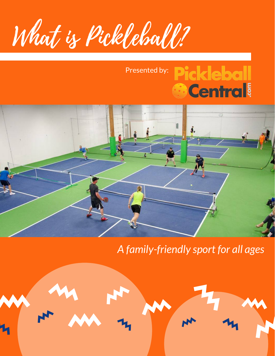What is Pickleball?

## **Pickleball** Presented by: **Central**



## *A family-friendly sport for all ages*

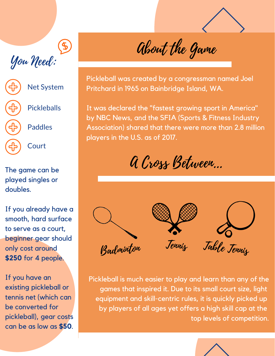## You Need:



The game can be played singles or doubles.

If you already have a smooth, hard surface to serve as a court, beginner gear should only cost around **\$250** for 4 people.

If you have an existing pickleball or tennis net (which can be converted for pickleball), gear costs can be as low as **\$50**.

About the Game

Pickleball was created by a congressman named Joel Pritchard in 1965 on Bainbridge Island, WA.

It was declared the "fastest growing sport in America" by NBC News, and the SFIA (Sports & Fitness Industry Association) shared that there were more than 2.8 million players in the U.S. as of 2017.

A Cross Between...



Pickleball is much easier to play and learn than any of the games that inspired it. Due to its small court size, light equipment and skill-centric rules, it is quickly picked up by players of all ages yet offers a high skill cap at the top levels of competition.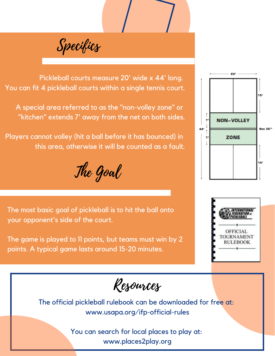Specifics

Pickleball courts measure 20' wide x 44' long. You can fit 4 pickleball courts within a single tennis court.

A special area referred to as the "non-volley zone" or "kitchen" extends 7' away from the net on both sides.

Players cannot volley (hit a ball before it has bounced) in this area, otherwise it will be counted as a fault.

The Goal

The most basic goal of pickleball is to hit the ball onto your opponent's side of the court.

The game is played to 11 points, but teams must win by 2 points. A typical game lasts around 15-20 minutes.

Resources

The official pickleball rulebook can be downloaded for free at: www.usapa.org/ifp-official-rules

> You can search for local places to play at: www.places2play.org